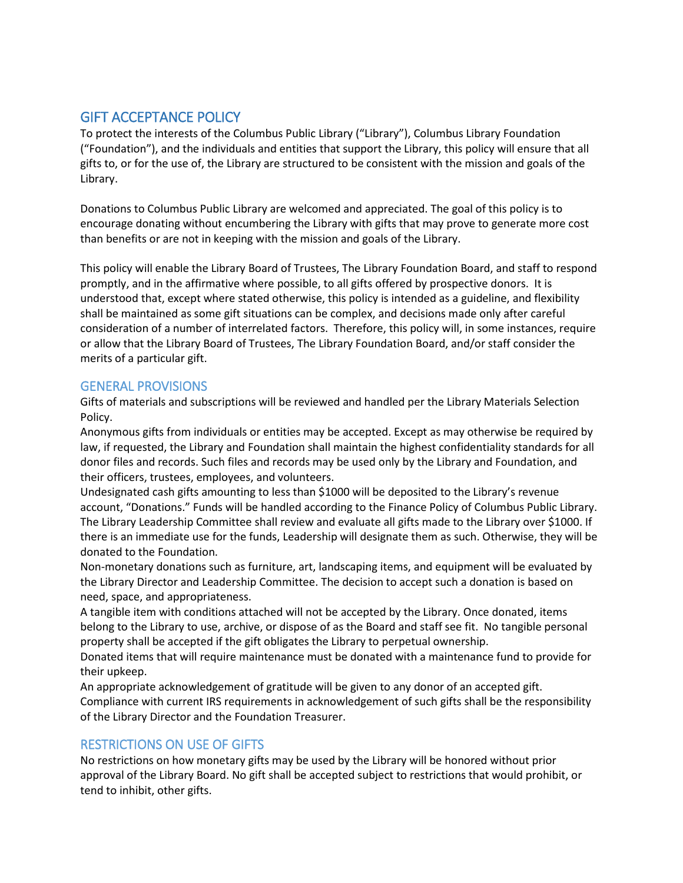## GIFT ACCEPTANCE POLICY

To protect the interests of the Columbus Public Library ("Library"), Columbus Library Foundation ("Foundation"), and the individuals and entities that support the Library, this policy will ensure that all gifts to, or for the use of, the Library are structured to be consistent with the mission and goals of the Library.

Donations to Columbus Public Library are welcomed and appreciated. The goal of this policy is to encourage donating without encumbering the Library with gifts that may prove to generate more cost than benefits or are not in keeping with the mission and goals of the Library.

This policy will enable the Library Board of Trustees, The Library Foundation Board, and staff to respond promptly, and in the affirmative where possible, to all gifts offered by prospective donors. It is understood that, except where stated otherwise, this policy is intended as a guideline, and flexibility shall be maintained as some gift situations can be complex, and decisions made only after careful consideration of a number of interrelated factors. Therefore, this policy will, in some instances, require or allow that the Library Board of Trustees, The Library Foundation Board, and/or staff consider the merits of a particular gift.

## GENERAL PROVISIONS

Gifts of materials and subscriptions will be reviewed and handled per the Library Materials Selection Policy.

Anonymous gifts from individuals or entities may be accepted. Except as may otherwise be required by law, if requested, the Library and Foundation shall maintain the highest confidentiality standards for all donor files and records. Such files and records may be used only by the Library and Foundation, and their officers, trustees, employees, and volunteers.

Undesignated cash gifts amounting to less than \$1000 will be deposited to the Library's revenue account, "Donations." Funds will be handled according to the Finance Policy of Columbus Public Library. The Library Leadership Committee shall review and evaluate all gifts made to the Library over \$1000. If there is an immediate use for the funds, Leadership will designate them as such. Otherwise, they will be donated to the Foundation.

Non-monetary donations such as furniture, art, landscaping items, and equipment will be evaluated by the Library Director and Leadership Committee. The decision to accept such a donation is based on need, space, and appropriateness.

A tangible item with conditions attached will not be accepted by the Library. Once donated, items belong to the Library to use, archive, or dispose of as the Board and staff see fit. No tangible personal property shall be accepted if the gift obligates the Library to perpetual ownership.

Donated items that will require maintenance must be donated with a maintenance fund to provide for their upkeep.

An appropriate acknowledgement of gratitude will be given to any donor of an accepted gift. Compliance with current IRS requirements in acknowledgement of such gifts shall be the responsibility of the Library Director and the Foundation Treasurer.

## RESTRICTIONS ON USE OF GIFTS

No restrictions on how monetary gifts may be used by the Library will be honored without prior approval of the Library Board. No gift shall be accepted subject to restrictions that would prohibit, or tend to inhibit, other gifts.